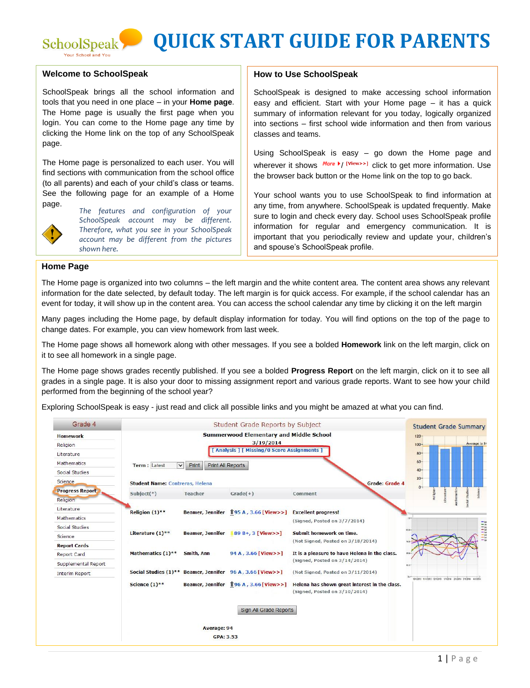## **QUICK START GUIDE FOR PARENTS**

## **Welcome to SchoolSpeak**

SchoolSpeak Your School and You

SchoolSpeak brings all the school information and tools that you need in one place – in your **Home page**. The Home page is usually the first page when you login. You can come to the Home page any time by clicking the Home link on the top of any SchoolSpeak page.

The Home page is personalized to each user. You will find sections with communication from the school office (to all parents) and each of your child's class or teams. See the following page for an example of a Home page. *The features and configuration of your* 



*SchoolSpeak account may be different. Therefore, what you see in your SchoolSpeak account may be different from the pictures shown here.*

## **How to Use SchoolSpeak**

SchoolSpeak is designed to make accessing school information easy and efficient. Start with your Home page – it has a quick summary of information relevant for you today, logically organized into sections – first school wide information and then from various classes and teams.

Using SchoolSpeak is easy – go down the Home page and wherever it shows  $^{More \star}$  (<sup>View>></sup>] click to get more information. Use the browser back button or the Home link on the top to go back.

Your school wants you to use SchoolSpeak to find information at any time, from anywhere. SchoolSpeak is updated frequently. Make sure to login and check every day. School uses SchoolSpeak profile information for regular and emergency communication. It is important that you periodically review and update your, children's and spouse's SchoolSpeak profile.

## **Home Page**

The Home page is organized into two columns – the left margin and the white content area. The content area shows any relevant information for the date selected, by default today. The left margin is for quick access. For example, if the school calendar has an event for today, it will show up in the content area. You can access the school calendar any time by clicking it on the left margin

Many pages including the Home page, by default display information for today. You will find options on the top of the page to change dates. For example, you can view homework from last week.

The Home page shows all homework along with other messages. If you see a bolded **Homework** link on the left margin, click on it to see all homework in a single page.

The Home page shows grades recently published. If you see a bolded **Progress Report** on the left margin, click on it to see all grades in a single page. It is also your door to missing assignment report and various grade reports. Want to see how your child performed from the beginning of the school year?

Exploring SchoolSpeak is easy - just read and click all possible links and you might be amazed at what you can find.